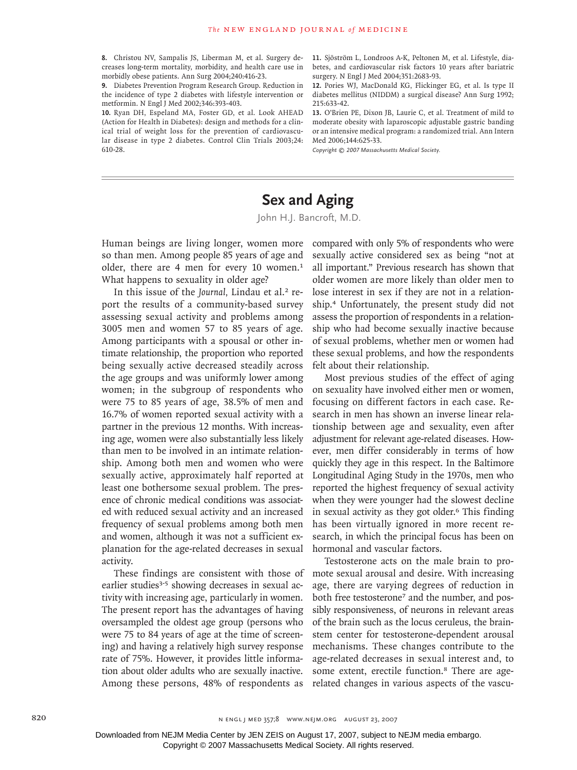Christou NV, Sampalis JS, Liberman M, et al. Surgery de-**8.** creases long-term mortality, morbidity, and health care use in morbidly obese patients. Ann Surg 2004;240:416-23.

**9.** Diabetes Prevention Program Research Group. Reduction in the incidence of type 2 diabetes with lifestyle intervention or metformin. N Engl J Med 2002;346:393-403.

10. Ryan DH, Espeland MA, Foster GD, et al. Look AHEAD (Action for Health in Diabetes): design and methods for a clinical trial of weight loss for the prevention of cardiovascular disease in type 2 diabetes. Control Clin Trials 2003;24: 610-28.

11. Sjöström L, Londroos A-K, Peltonen M, et al. Lifestyle, diabetes, and cardiovascular risk factors 10 years after bariatric surgery. N Engl J Med 2004;351:2683-93.

12. Pories WJ, MacDonald KG, Flickinger EG, et al. Is type II diabetes mellitus (NIDDM) a surgical disease? Ann Surg 1992; 215:633-42.

13. O'Brien PE, Dixon JB, Laurie C, et al. Treatment of mild to moderate obesity with laparoscopic adjustable gastric banding or an intensive medical program: a randomized trial. Ann Intern Med 2006;144:625-33.

*Copyright © 2007 Massachusetts Medical Society.*

## **Sex and Aging**

John H.J. Bancroft, M.D.

Human beings are living longer, women more so than men. Among people 85 years of age and older, there are 4 men for every 10 women.<sup>1</sup> What happens to sexuality in older age?

In this issue of the *Journal*, Lindau et al.<sup>2</sup> report the results of a community-based survey assessing sexual activity and problems among 3005 men and women 57 to 85 years of age. Among participants with a spousal or other intimate relationship, the proportion who reported being sexually active decreased steadily across the age groups and was uniformly lower among women; in the subgroup of respondents who were 75 to 85 years of age, 38.5% of men and 16.7% of women reported sexual activity with a partner in the previous 12 months. With increasing age, women were also substantially less likely than men to be involved in an intimate relationship. Among both men and women who were sexually active, approximately half reported at least one bothersome sexual problem. The presence of chronic medical conditions was associated with reduced sexual activity and an increased frequency of sexual problems among both men and women, although it was not a sufficient explanation for the age-related decreases in sexual activity.

These findings are consistent with those of earlier studies<sup>3-5</sup> showing decreases in sexual activity with increasing age, particularly in women. The present report has the advantages of having oversampled the oldest age group (persons who were 75 to 84 years of age at the time of screening) and having a relatively high survey response rate of 75%. However, it provides little information about older adults who are sexually inactive. Among these persons, 48% of respondents as

compared with only 5% of respondents who were sexually active considered sex as being "not at all important." Previous research has shown that older women are more likely than older men to lose interest in sex if they are not in a relationship.4 Unfortunately, the present study did not assess the proportion of respondents in a relationship who had become sexually inactive because of sexual problems, whether men or women had these sexual problems, and how the respondents felt about their relationship.

Most previous studies of the effect of aging on sexuality have involved either men or women, focusing on different factors in each case. Research in men has shown an inverse linear relationship between age and sexuality, even after adjustment for relevant age-related diseases. However, men differ considerably in terms of how quickly they age in this respect. In the Baltimore Longitudinal Aging Study in the 1970s, men who reported the highest frequency of sexual activity when they were younger had the slowest decline in sexual activity as they got older.<sup>6</sup> This finding has been virtually ignored in more recent research, in which the principal focus has been on hormonal and vascular factors.

Testosterone acts on the male brain to promote sexual arousal and desire. With increasing age, there are varying degrees of reduction in both free testosterone<sup>7</sup> and the number, and possibly responsiveness, of neurons in relevant areas of the brain such as the locus ceruleus, the brainstem center for testosterone-dependent arousal mechanisms. These changes contribute to the age-related decreases in sexual interest and, to some extent, erectile function.<sup>8</sup> There are agerelated changes in various aspects of the vascu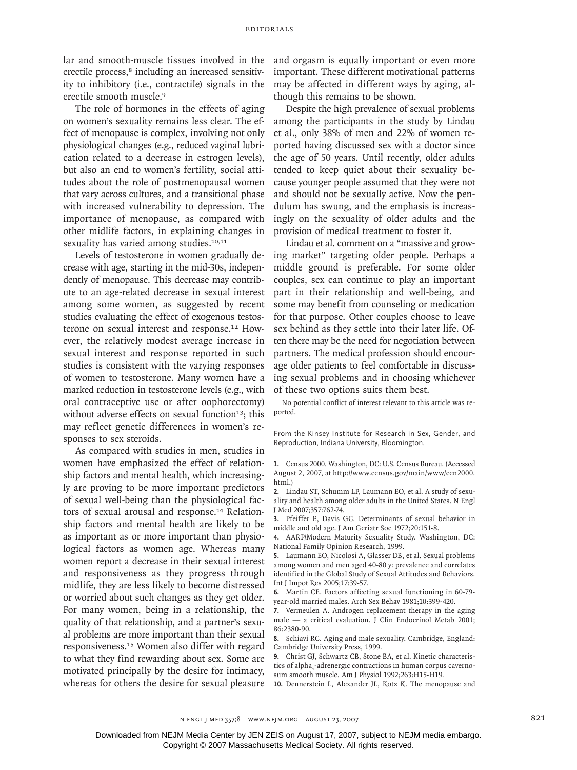lar and smooth-muscle tissues involved in the erectile process,<sup>8</sup> including an increased sensitivity to inhibitory (i.e., contractile) signals in the erectile smooth muscle.<sup>9</sup>

The role of hormones in the effects of aging on women's sexuality remains less clear. The effect of menopause is complex, involving not only physiological changes (e.g., reduced vaginal lubrication related to a decrease in estrogen levels), but also an end to women's fertility, social attitudes about the role of postmenopausal women that vary across cultures, and a transitional phase with increased vulnerability to depression. The importance of menopause, as compared with other midlife factors, in explaining changes in sexuality has varied among studies.<sup>10,11</sup>

Levels of testosterone in women gradually decrease with age, starting in the mid-30s, independently of menopause. This decrease may contribute to an age-related decrease in sexual interest among some women, as suggested by recent studies evaluating the effect of exogenous testosterone on sexual interest and response.12 However, the relatively modest average increase in sexual interest and response reported in such studies is consistent with the varying responses of women to testosterone. Many women have a marked reduction in testosterone levels (e.g., with oral contraceptive use or after oophorectomy) without adverse effects on sexual function<sup>13</sup>; this may reflect genetic differences in women's responses to sex steroids.

As compared with studies in men, studies in women have emphasized the effect of relationship factors and mental health, which increasingly are proving to be more important predictors of sexual well-being than the physiological factors of sexual arousal and response.<sup>14</sup> Relationship factors and mental health are likely to be as important as or more important than physiological factors as women age. Whereas many women report a decrease in their sexual interest and responsiveness as they progress through midlife, they are less likely to become distressed or worried about such changes as they get older. For many women, being in a relationship, the quality of that relationship, and a partner's sexual problems are more important than their sexual responsiveness.15 Women also differ with regard to what they find rewarding about sex. Some are motivated principally by the desire for intimacy, whereas for others the desire for sexual pleasure and orgasm is equally important or even more important. These different motivational patterns may be affected in different ways by aging, although this remains to be shown.

Despite the high prevalence of sexual problems among the participants in the study by Lindau et al., only 38% of men and 22% of women reported having discussed sex with a doctor since the age of 50 years. Until recently, older adults tended to keep quiet about their sexuality because younger people assumed that they were not and should not be sexually active. Now the pendulum has swung, and the emphasis is increasingly on the sexuality of older adults and the provision of medical treatment to foster it.

Lindau et al. comment on a "massive and growing market" targeting older people. Perhaps a middle ground is preferable. For some older couples, sex can continue to play an important part in their relationship and well-being, and some may benefit from counseling or medication for that purpose. Other couples choose to leave sex behind as they settle into their later life. Often there may be the need for negotiation between partners. The medical profession should encourage older patients to feel comfortable in discussing sexual problems and in choosing whichever of these two options suits them best.

No potential conflict of interest relevant to this article was reported.

From the Kinsey Institute for Research in Sex, Gender, and Reproduction, Indiana University, Bloomington.

Census 2000. Washington, DC: U.S. Census Bureau. (Accessed **1.** August 2, 2007, at http://www.census.gov/main/www/cen2000. html.)

Lindau ST, Schumm LP, Laumann EO, et al. A study of sexu-**2.** ality and health among older adults in the United States. N Engl J Med 2007;357:762-74.

Pfeiffer E, Davis GC. Determinants of sexual behavior in **3.** middle and old age. J Am Geriatr Soc 1972;20:151-8.

AARP/Modern Maturity Sexuality Study. Washington, DC: **4.** National Family Opinion Research, 1999.

Laumann EO, Nicolosi A, Glasser DB, et al. Sexual problems **5.** among women and men aged 40-80 y: prevalence and correlates identified in the Global Study of Sexual Attitudes and Behaviors. Int J Impot Res 2005;17:39-57.

Martin CE. Factors affecting sexual functioning in 60-79- **6.** year-old married males. Arch Sex Behav 1981;10:399-420.

**7.** Vermeulen A. Androgen replacement therapy in the aging male — a critical evaluation. J Clin Endocrinol Metab 2001; 86:2380-90.

Schiavi RC. Aging and male sexuality. Cambridge, England: **8.** Cambridge University Press, 1999.

Christ GJ, Schwartz CB, Stone BA, et al. Kinetic characteris-**9.** tics of alpha<sub>1</sub>-adrenergic contractions in human corpus cavernosum smooth muscle. Am J Physiol 1992;263:H15-H19.

10. Dennerstein L, Alexander JL, Kotz K. The menopause and